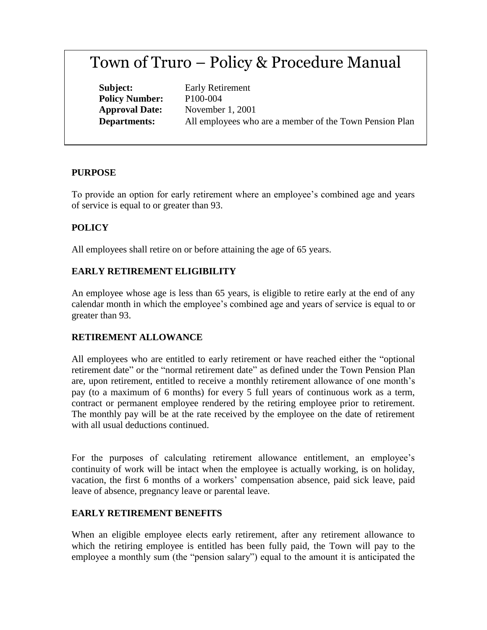# Town of Truro – Policy & Procedure Manual

**Policy Number:** P100-004

**Subject:** Early Retirement **Approval Date:** November 1, 2001 **Departments:** All employees who are a member of the Town Pension Plan

#### **PURPOSE**

To provide an option for early retirement where an employee's combined age and years of service is equal to or greater than 93.

## **POLICY**

All employees shall retire on or before attaining the age of 65 years.

## **EARLY RETIREMENT ELIGIBILITY**

An employee whose age is less than 65 years, is eligible to retire early at the end of any calendar month in which the employee's combined age and years of service is equal to or greater than 93.

## **RETIREMENT ALLOWANCE**

All employees who are entitled to early retirement or have reached either the "optional retirement date" or the "normal retirement date" as defined under the Town Pension Plan are, upon retirement, entitled to receive a monthly retirement allowance of one month's pay (to a maximum of 6 months) for every 5 full years of continuous work as a term, contract or permanent employee rendered by the retiring employee prior to retirement. The monthly pay will be at the rate received by the employee on the date of retirement with all usual deductions continued.

For the purposes of calculating retirement allowance entitlement, an employee's continuity of work will be intact when the employee is actually working, is on holiday, vacation, the first 6 months of a workers' compensation absence, paid sick leave, paid leave of absence, pregnancy leave or parental leave.

## **EARLY RETIREMENT BENEFITS**

When an eligible employee elects early retirement, after any retirement allowance to which the retiring employee is entitled has been fully paid, the Town will pay to the employee a monthly sum (the "pension salary") equal to the amount it is anticipated the